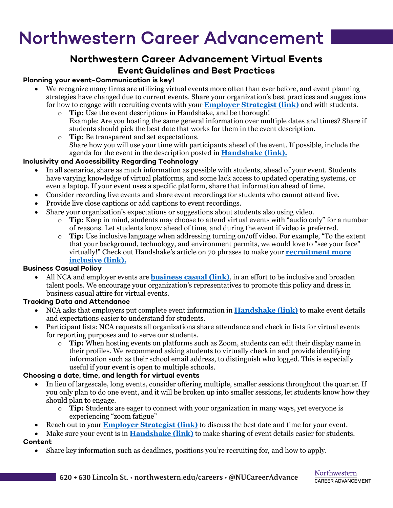# Northwestern Career Advancement

# **Northwestern Career Advancement Virtual Events**

## **Event Guidelines and Best Practices**

### **Planning your event-Communication is key!**

- We recognize many firms are utilizing virtual events more often than ever before, and event planning strategies have changed due to current events. Share your organization's best practices and suggestions for how to engage with recruiting events with your **[Employer Strategist \(link\)](https://www.northwestern.edu/recruit/about-us/meet-our-team/index.html)** and with students.
	- o **Tip:** Use the event descriptions in Handshake, and be thorough! Example: Are you hosting the same general information over multiple dates and times? Share if students should pick the best date that works for them in the event description.
	- o **Tip:** Be transparent and set expectations. Share how you will use your time with participants ahead of the event. If possible, include the agenda for the event in the description posted in **[Handshake \(link\).](https://northwestern.joinhandshake.com/)**

### **Inclusivity and Accessibility Regarding Technology**

- In all scenarios, share as much information as possible with students, ahead of your event. Students have varying knowledge of virtual platforms, and some lack access to updated operating systems, or even a laptop. If your event uses a specific platform, share that information ahead of time.
- Consider recording live events and share event recordings for students who cannot attend live.
- Provide live close captions or add captions to event recordings.
- Share your organization's expectations or suggestions about students also using video.
	- o **Tip:** Keep in mind, students may choose to attend virtual events with "audio only" for a number of reasons. Let students know ahead of time, and during the event if video is preferred.
	- o **Tip:** Use inclusive language when addressing turning on/off video. For example, "To the extent that your background, technology, and environment permits, we would love to "see your face" virtually!" Check out Handshake's article on 70 phrases to make your **[recruitment more](https://learn.joinhandshake.com/employers/70-inclusive-language-principles-that-will-make-you-a-more-successful-recruiter/)  [inclusive \(link\).](https://learn.joinhandshake.com/employers/70-inclusive-language-principles-that-will-make-you-a-more-successful-recruiter/)**

### **Business Casual Policy**

• All NCA and employer events are **[business casual \(link\)](https://www.northwestern.edu/careers/job-intern-prep/on-campus-recruiting/dress/index.html)**, in an effort to be inclusive and broaden talent pools. We encourage your organization's representatives to promote this policy and dress in business casual attire for virtual events.

### **Tracking Data and Attendance**

- NCA asks that employers put complete event information in **[Handshake \(link\)](https://northwestern.joinhandshake.com/)** to make event details and expectations easier to understand for students.
- Participant lists: NCA requests all organizations share attendance and check in lists for virtual events for reporting purposes and to serve our students.
	- o **Tip:** When hosting events on platforms such as Zoom, students can edit their display name in their profiles. We recommend asking students to virtually check in and provide identifying information such as their school email address, to distinguish who logged. This is especially useful if your event is open to multiple schools.

### **Choosing a date, time, and length for virtual events**

- In lieu of largescale, long events, consider offering multiple, smaller sessions throughout the quarter. If you only plan to do one event, and it will be broken up into smaller sessions, let students know how they should plan to engage.
	- o **Tip:** Students are eager to connect with your organization in many ways, yet everyone is experiencing "zoom fatigue"
- Reach out to your **[Employer Strategist \(link\)](https://www.northwestern.edu/recruit/about-us/meet-our-team/index.html)** to discuss the best date and time for your event.
- Make sure your event is in **[Handshake \(link\)](https://northwestern.joinhandshake.com/)** to make sharing of event details easier for students. **Content**
	- Share key information such as deadlines, positions you're recruiting for, and how to apply.